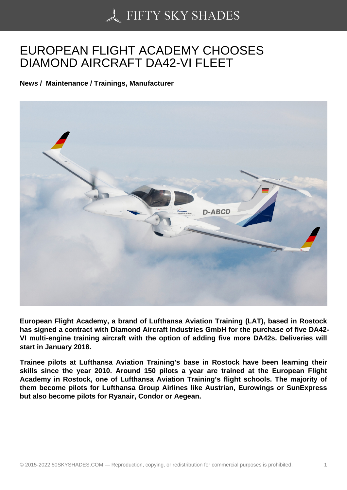## [EUROPEAN FLIGHT A](https://50skyshades.com)CADEMY CHOOSES DIAMOND AIRCRAFT DA42-VI FLEET

News / Maintenance / Trainings, Manufacturer

European Flight Academy, a brand of Lufthansa Aviation Training (LAT), based in Rostock has signed a contract with Diamond Aircraft Industries GmbH for the purchase of five DA42- VI multi-engine training aircraft with the option of adding five more DA42s. Deliveries will start in January 2018.

Trainee pilots at Lufthansa Aviation Training's base in Rostock have been learning their skills since the year 2010. Around 150 pilots a year are trained at the European Flight Academy in Rostock, one of Lufthansa Aviation Training's flight schools. The majority of them become pilots for Lufthansa Group Airlines like Austrian, Eurowings or SunExpress but also become pilots for Ryanair, Condor or Aegean.